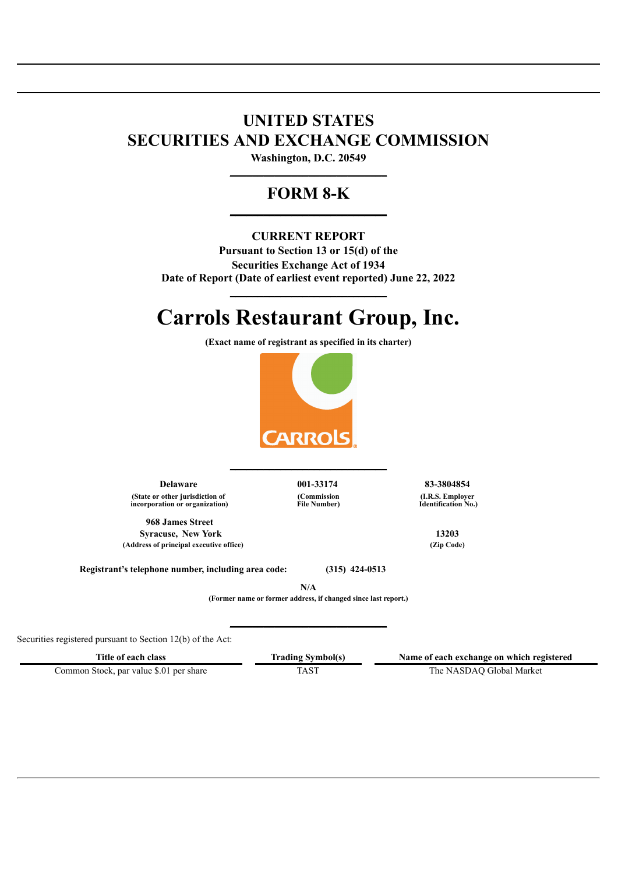## **UNITED STATES SECURITIES AND EXCHANGE COMMISSION**

**Washington, D.C. 20549 \_\_\_\_\_\_\_\_\_\_\_\_\_\_\_\_\_\_\_\_\_\_\_\_\_\_\_\_**

## **FORM 8-K \_\_\_\_\_\_\_\_\_\_\_\_\_\_\_\_\_\_\_\_\_\_\_\_\_\_\_\_**

## **CURRENT REPORT**

**Pursuant to Section 13 or 15(d) of the Securities Exchange Act of 1934 Date of Report (Date of earliest event reported) June 22, 2022**

# **Carrols Restaurant Group, Inc.**

**\_\_\_\_\_\_\_\_\_\_\_\_\_\_\_\_\_\_\_\_\_\_\_\_\_\_\_\_**

**(Exact name of registrant as specified in its charter)**



**\_\_\_\_\_\_\_\_\_\_\_\_\_\_\_\_\_\_\_\_\_\_\_\_\_\_\_\_**

**Delaware 001-33174 83-3804854 (State or other jurisdiction of incorporation or organization)**

**968 James Street Syracuse, New York 13203**<br> **13203** <br> **13203** (*Zip Code*) **(Address of principal executive office) (Zip Code)**

**(Commission File Number)** **(I.R.S. Employer Identification No.)**

**Registrant's telephone number, including area code: (315) 424-0513**

**N/A**

**(Former name or former address, if changed since last report.)**

**\_\_\_\_\_\_\_\_\_\_\_\_\_\_\_\_\_\_\_\_\_\_\_\_\_\_\_\_**

Securities registered pursuant to Section 12(b) of the Act:

**Title of each class Trading Symbol(s) Name of each exchange on which registered**

Common Stock, par value \$.01 per share TAST TAST The NASDAQ Global Market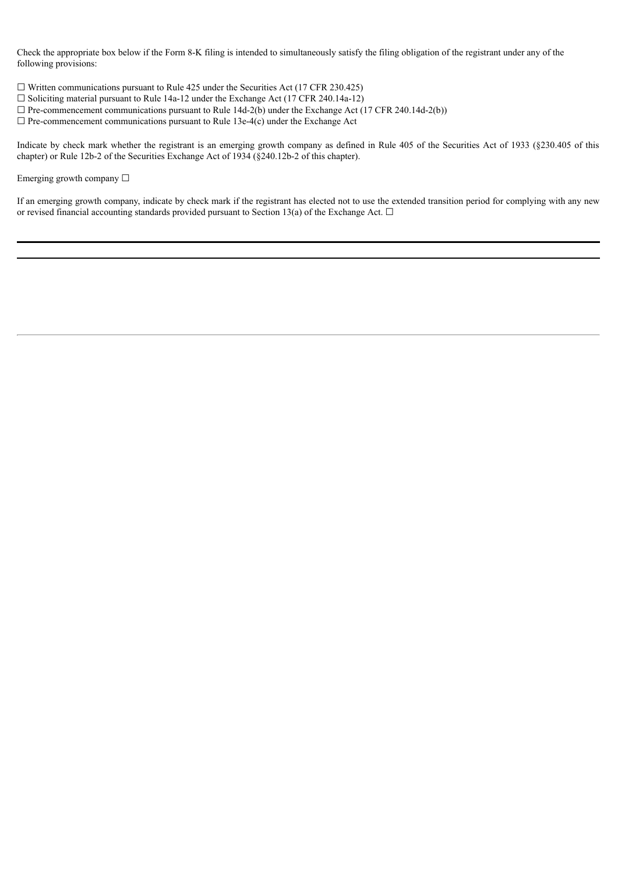Check the appropriate box below if the Form 8-K filing is intended to simultaneously satisfy the filing obligation of the registrant under any of the following provisions:

 $\Box$  Written communications pursuant to Rule 425 under the Securities Act (17 CFR 230.425)

- $\Box$  Soliciting material pursuant to Rule 14a-12 under the Exchange Act (17 CFR 240.14a-12)
- $\Box$  Pre-commencement communications pursuant to Rule 14d-2(b) under the Exchange Act (17 CFR 240.14d-2(b))
- $\Box$  Pre-commencement communications pursuant to Rule 13e-4(c) under the Exchange Act

Indicate by check mark whether the registrant is an emerging growth company as defined in Rule 405 of the Securities Act of 1933 (§230.405 of this chapter) or Rule 12b-2 of the Securities Exchange Act of 1934 (§240.12b-2 of this chapter).

#### Emerging growth company ☐

If an emerging growth company, indicate by check mark if the registrant has elected not to use the extended transition period for complying with any new or revised financial accounting standards provided pursuant to Section 13(a) of the Exchange Act.  $\Box$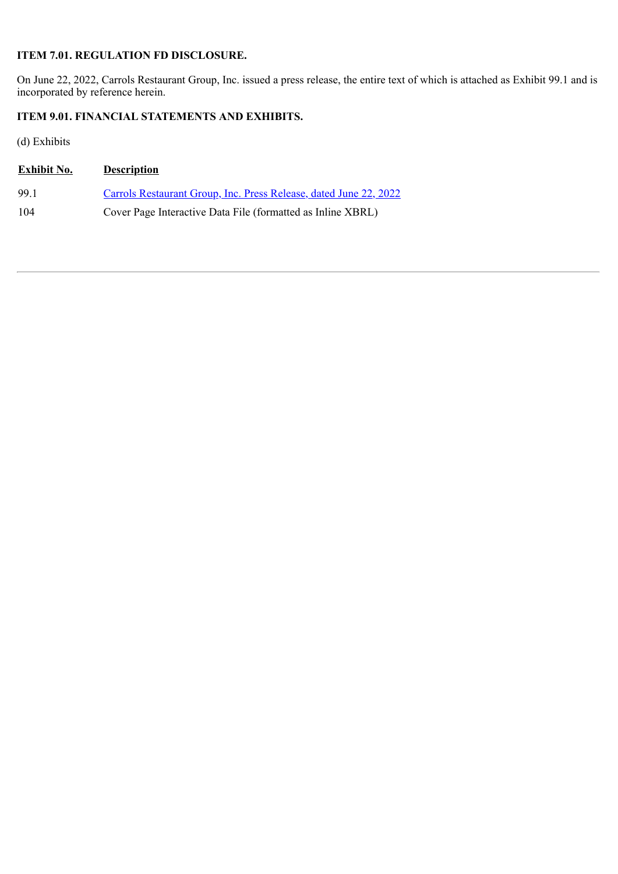### **ITEM 7.01. REGULATION FD DISCLOSURE.**

On June 22, 2022, Carrols Restaurant Group, Inc. issued a press release, the entire text of which is attached as Exhibit 99.1 and is incorporated by reference herein.

## **ITEM 9.01. FINANCIAL STATEMENTS AND EXHIBITS.**

(d) Exhibits

| <b>Exhibit No.</b> | <b>Description</b>                                                |
|--------------------|-------------------------------------------------------------------|
| 99 1               | Carrols Restaurant Group, Inc. Press Release, dated June 22, 2022 |
| 104                | Cover Page Interactive Data File (formatted as Inline XBRL)       |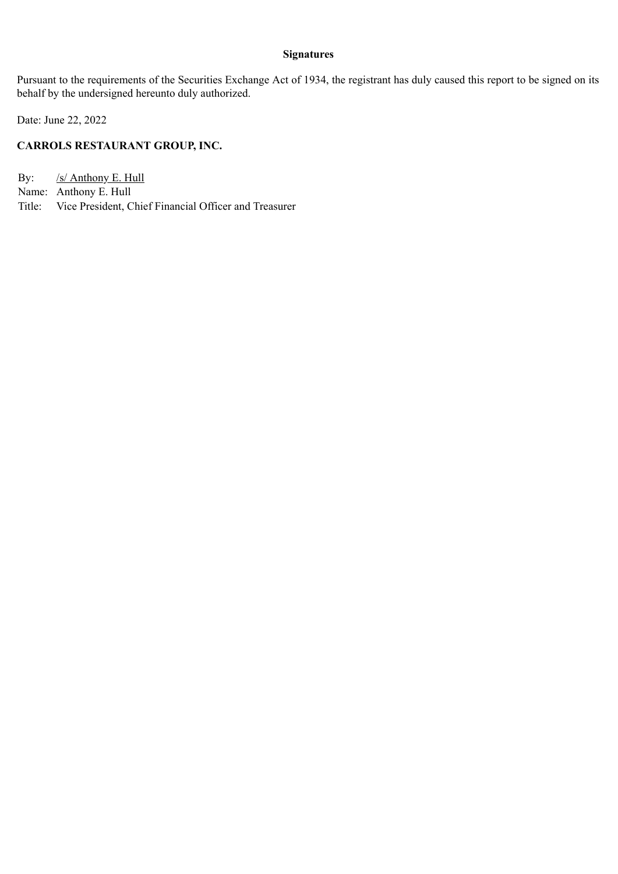#### **Signatures**

Pursuant to the requirements of the Securities Exchange Act of 1934, the registrant has duly caused this report to be signed on its behalf by the undersigned hereunto duly authorized.

Date: June 22, 2022

## **CARROLS RESTAURANT GROUP, INC.**

By: /s/ Anthony E. Hull

- Name: Anthony E. Hull
- Title: Vice President, Chief Financial Officer and Treasurer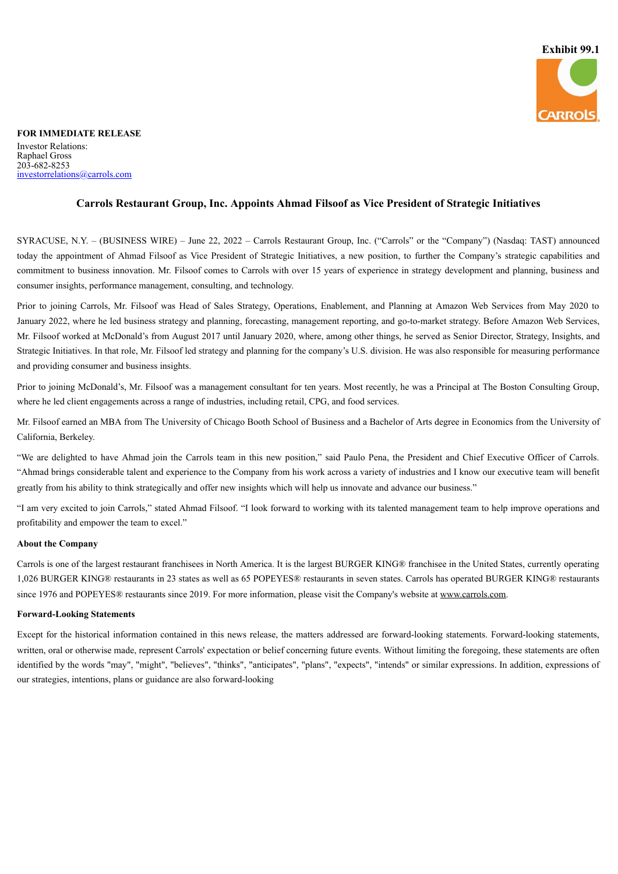

#### <span id="page-4-0"></span>**FOR IMMEDIATE RELEASE** Investor Relations: Raphael Gross 203-682-8253 investorrelations@carrols.com

#### **Carrols Restaurant Group, Inc. Appoints Ahmad Filsoof as Vice President of Strategic Initiatives**

SYRACUSE, N.Y. – (BUSINESS WIRE) – June 22, 2022 – Carrols Restaurant Group, Inc. ("Carrols" or the "Company") (Nasdaq: TAST) announced today the appointment of Ahmad Filsoof as Vice President of Strategic Initiatives, a new position, to further the Company's strategic capabilities and commitment to business innovation. Mr. Filsoof comes to Carrols with over 15 years of experience in strategy development and planning, business and consumer insights, performance management, consulting, and technology.

Prior to joining Carrols, Mr. Filsoof was Head of Sales Strategy, Operations, Enablement, and Planning at Amazon Web Services from May 2020 to January 2022, where he led business strategy and planning, forecasting, management reporting, and go-to-market strategy. Before Amazon Web Services, Mr. Filsoof worked at McDonald's from August 2017 until January 2020, where, among other things, he served as Senior Director, Strategy, Insights, and Strategic Initiatives. In that role, Mr. Filsoof led strategy and planning for the company's U.S. division. He was also responsible for measuring performance and providing consumer and business insights.

Prior to joining McDonald's, Mr. Filsoof was a management consultant for ten years. Most recently, he was a Principal at The Boston Consulting Group, where he led client engagements across a range of industries, including retail, CPG, and food services.

Mr. Filsoof earned an MBA from The University of Chicago Booth School of Business and a Bachelor of Arts degree in Economics from the University of California, Berkeley.

"We are delighted to have Ahmad join the Carrols team in this new position," said Paulo Pena, the President and Chief Executive Officer of Carrols. "Ahmad brings considerable talent and experience to the Company from his work across a variety of industries and I know our executive team will benefit greatly from his ability to think strategically and offer new insights which will help us innovate and advance our business."

"I am very excited to join Carrols," stated Ahmad Filsoof. "I look forward to working with its talented management team to help improve operations and profitability and empower the team to excel."

#### **About the Company**

Carrols is one of the largest restaurant franchisees in North America. It is the largest BURGER KING® franchisee in the United States, currently operating 1,026 BURGER KING® restaurants in 23 states as well as 65 POPEYES® restaurants in seven states. Carrols has operated BURGER KING® restaurants since 1976 and POPEYES® restaurants since 2019. For more information, please visit the Company's website at www.carrols.com.

#### **Forward-Looking Statements**

Except for the historical information contained in this news release, the matters addressed are forward-looking statements. Forward-looking statements, written, oral or otherwise made, represent Carrols' expectation or belief concerning future events. Without limiting the foregoing, these statements are often identified by the words "may", "might", "believes", "thinks", "anticipates", "plans", "expects", "intends" or similar expressions. In addition, expressions of our strategies, intentions, plans or guidance are also forward-looking